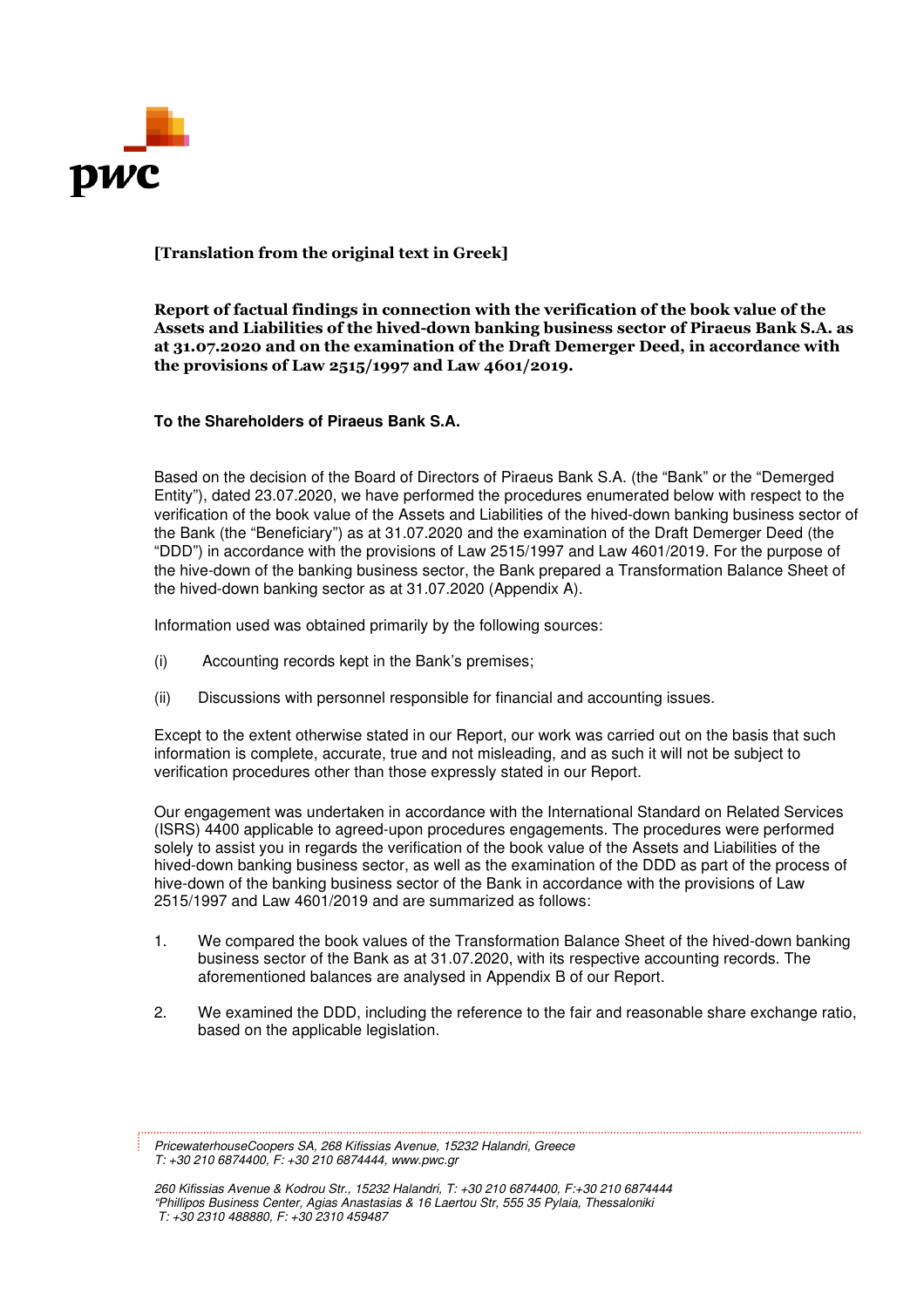

# [Translation from the original text in Greek]

Report of factual findings in connection with the verification of the book value of the Assets and Liabilities of the hived-down banking business sector of Piraeus Bank S.A. as at 31.07.2020 and on the examination of the Draft Demerger Deed, in accordance with the provisions of Law 2515/1997 and Law 4601/2019.

### **To the Shareholders of Piraeus Bank S.A.**

Based on the decision of the Board of Directors of Piraeus Bank S.A. (the "Bank" or the "Demerged Entity"), dated 23.07.2020, we have performed the procedures enumerated below with respect to the verification of the book value of the Assets and Liabilities of the hived-down banking business sector of the Bank (the "Beneficiary") as at 31.07.2020 and the examination of the Draft Demerger Deed (the "DDD") in accordance with the provisions of Law 2515/1997 and Law 4601/2019. For the purpose of the hive-down of the banking business sector, the Bank prepared a Transformation Balance Sheet of the hived-down banking sector as at 31.07.2020 (Appendix A).

Information used was obtained primarily by the following sources:

- (i) Accounting records kept in the Bank's premises;
- (ii) Discussions with personnel responsible for financial and accounting issues.

Except to the extent otherwise stated in our Report, our work was carried out on the basis that such information is complete, accurate, true and not misleading, and as such it will not be subject to verification procedures other than those expressly stated in our Report.

Our engagement was undertaken in accordance with the International Standard on Related Services (ISRS) 4400 applicable to agreed-upon procedures engagements. The procedures were performed solely to assist you in regards the verification of the book value of the Assets and Liabilities of the hived-down banking business sector, as well as the examination of the DDD as part of the process of hive-down of the banking business sector of the Bank in accordance with the provisions of Law 2515/1997 and Law 4601/2019 and are summarized as follows:

- 1. We compared the book values of the Transformation Balance Sheet of the hived-down banking business sector of the Bank as at 31.07.2020, with its respective accounting records. The aforementioned balances are analysed in Appendix B of our Report.
- 2. We examined the DDD, including the reference to the fair and reasonable share exchange ratio, based on the applicable legislation.

PricewaterhouseCoopers SA, 268 Kifissias Avenue, 15232 Halandri, Greece T: +30 210 6874400, F: +30 210 6874444, www.pwc.gr

260 Kifissias Avenue & Kodrou Str., 15232 Halandri, T: +30 210 6874400, F:+30 210 6874444 "Phillipos Business Center, Agias Anastasias & 16 Laertou Str, 555 35 Pylaia, Thessaloniki T: +30 2310 488880, F: +30 2310 459487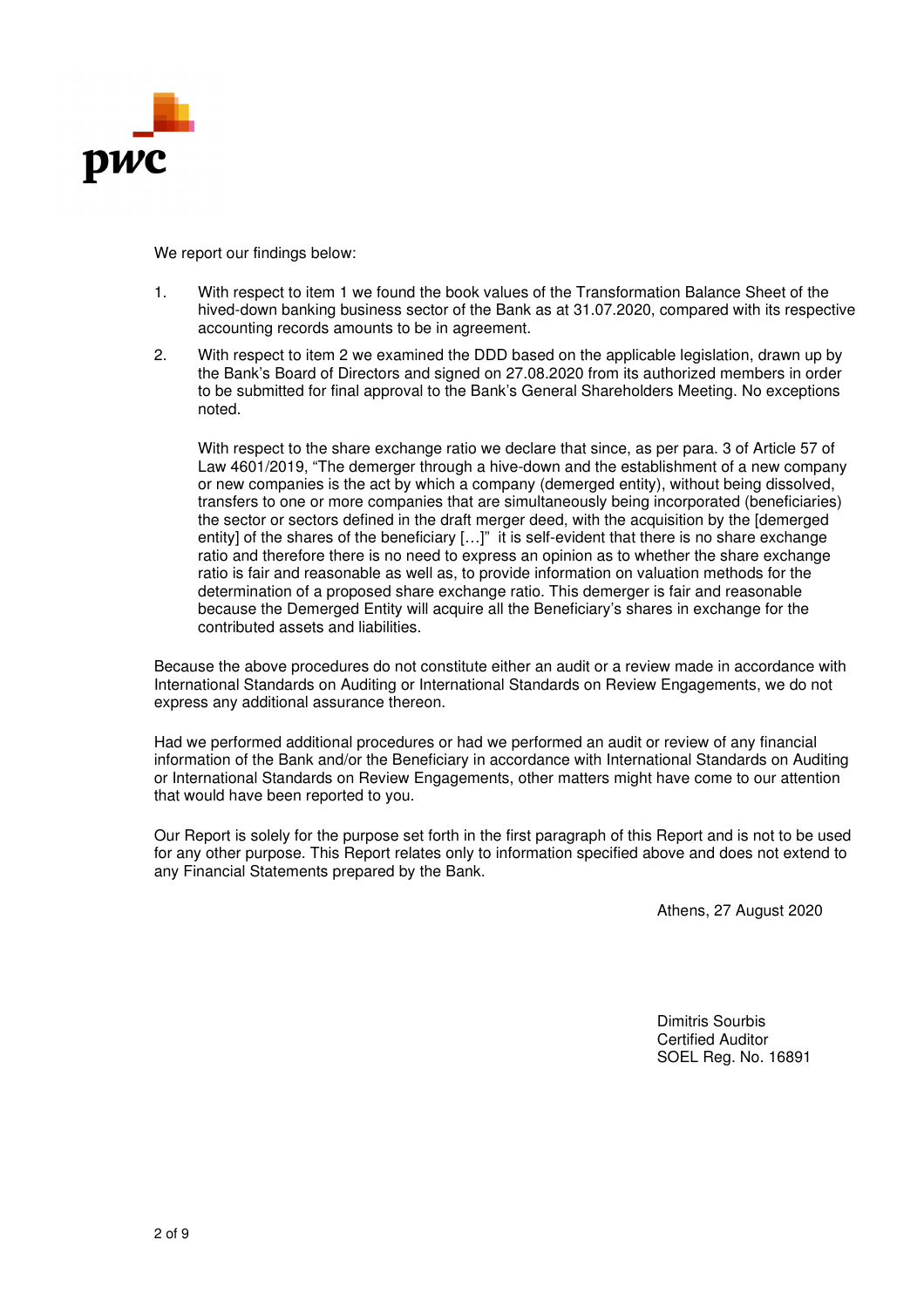

We report our findings below:

- 1. With respect to item 1 we found the book values of the Transformation Balance Sheet of the hived-down banking business sector of the Bank as at 31.07.2020, compared with its respective accounting records amounts to be in agreement.
- 2. With respect to item 2 we examined the DDD based on the applicable legislation, drawn up by the Bank's Board of Directors and signed on 27.08.2020 from its authorized members in order to be submitted for final approval to the Bank's General Shareholders Meeting. No exceptions noted.

With respect to the share exchange ratio we declare that since, as per para. 3 of Article 57 of Law 4601/2019, "The demerger through a hive-down and the establishment of a new company or new companies is the act by which a company (demerged entity), without being dissolved, transfers to one or more companies that are simultaneously being incorporated (beneficiaries) the sector or sectors defined in the draft merger deed, with the acquisition by the [demerged entity] of the shares of the beneficiary […]" it is self-evident that there is no share exchange ratio and therefore there is no need to express an opinion as to whether the share exchange ratio is fair and reasonable as well as, to provide information on valuation methods for the determination of a proposed share exchange ratio. This demerger is fair and reasonable because the Demerged Entity will acquire all the Beneficiary's shares in exchange for the contributed assets and liabilities.

Because the above procedures do not constitute either an audit or a review made in accordance with International Standards on Auditing or International Standards on Review Engagements, we do not express any additional assurance thereon.

Had we performed additional procedures or had we performed an audit or review of any financial information of the Bank and/or the Beneficiary in accordance with International Standards on Auditing or International Standards on Review Engagements, other matters might have come to our attention that would have been reported to you.

Our Report is solely for the purpose set forth in the first paragraph of this Report and is not to be used for any other purpose. This Report relates only to information specified above and does not extend to any Financial Statements prepared by the Bank.

Athens, 27 August 2020

Dimitris Sourbis Certified Auditor SOEL Reg. No. 16891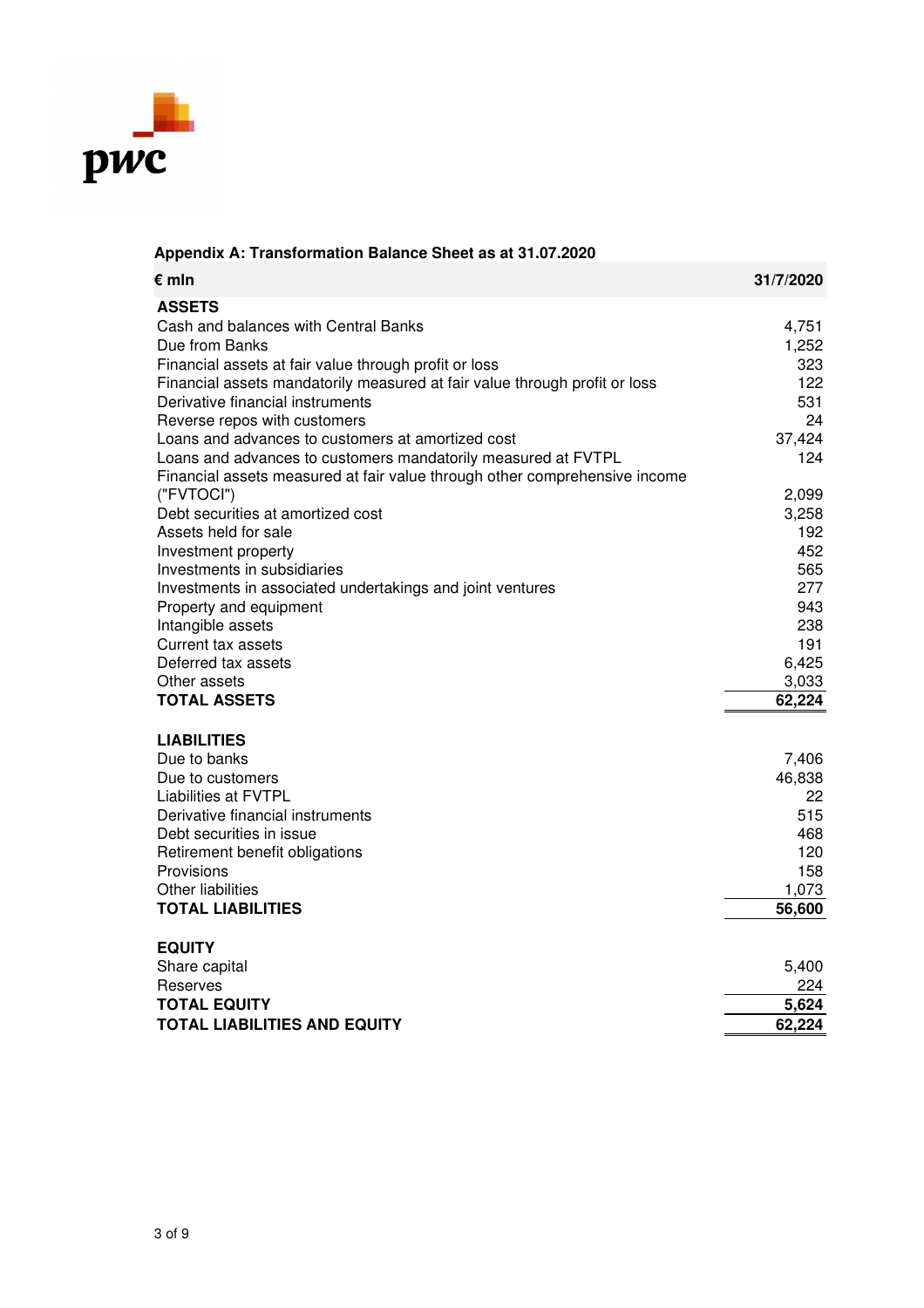

| $\epsilon$ mln                                                             | 31/7/2020    |
|----------------------------------------------------------------------------|--------------|
| <b>ASSETS</b>                                                              |              |
| Cash and balances with Central Banks                                       | 4,751        |
| Due from Banks                                                             | 1,252        |
| Financial assets at fair value through profit or loss                      | 323          |
| Financial assets mandatorily measured at fair value through profit or loss | 122          |
| Derivative financial instruments                                           | 531          |
| Reverse repos with customers                                               | 24           |
| Loans and advances to customers at amortized cost                          | 37,424       |
| Loans and advances to customers mandatorily measured at FVTPL              | 124          |
| Financial assets measured at fair value through other comprehensive income |              |
| ("FVTOCI")                                                                 | 2,099        |
| Debt securities at amortized cost                                          | 3,258        |
| Assets held for sale                                                       | 192          |
| Investment property                                                        | 452          |
| Investments in subsidiaries                                                | 565          |
| Investments in associated undertakings and joint ventures                  | 277          |
| Property and equipment                                                     | 943          |
| Intangible assets                                                          | 238          |
| <b>Current tax assets</b><br>Deferred tax assets                           | 191<br>6,425 |
| Other assets                                                               | 3,033        |
| <b>TOTAL ASSETS</b>                                                        | 62,224       |
|                                                                            |              |
| <b>LIABILITIES</b>                                                         |              |
| Due to banks                                                               | 7,406        |
| Due to customers                                                           | 46,838       |
| <b>Liabilities at FVTPL</b>                                                | 22           |
| Derivative financial instruments                                           | 515          |
| Debt securities in issue                                                   | 468          |
| Retirement benefit obligations                                             | 120          |
| Provisions                                                                 | 158          |
| Other liabilities                                                          | 1,073        |
| <b>TOTAL LIABILITIES</b>                                                   | 56,600       |
| <b>EQUITY</b>                                                              |              |
| Share capital                                                              | 5,400        |
| Reserves                                                                   | 224          |
| <b>TOTAL EQUITY</b>                                                        | 5,624        |
| <b>TOTAL LIABILITIES AND EQUITY</b>                                        | 62,224       |

# **Appendix A: Transformation Balance Sheet as at 31.07.2020**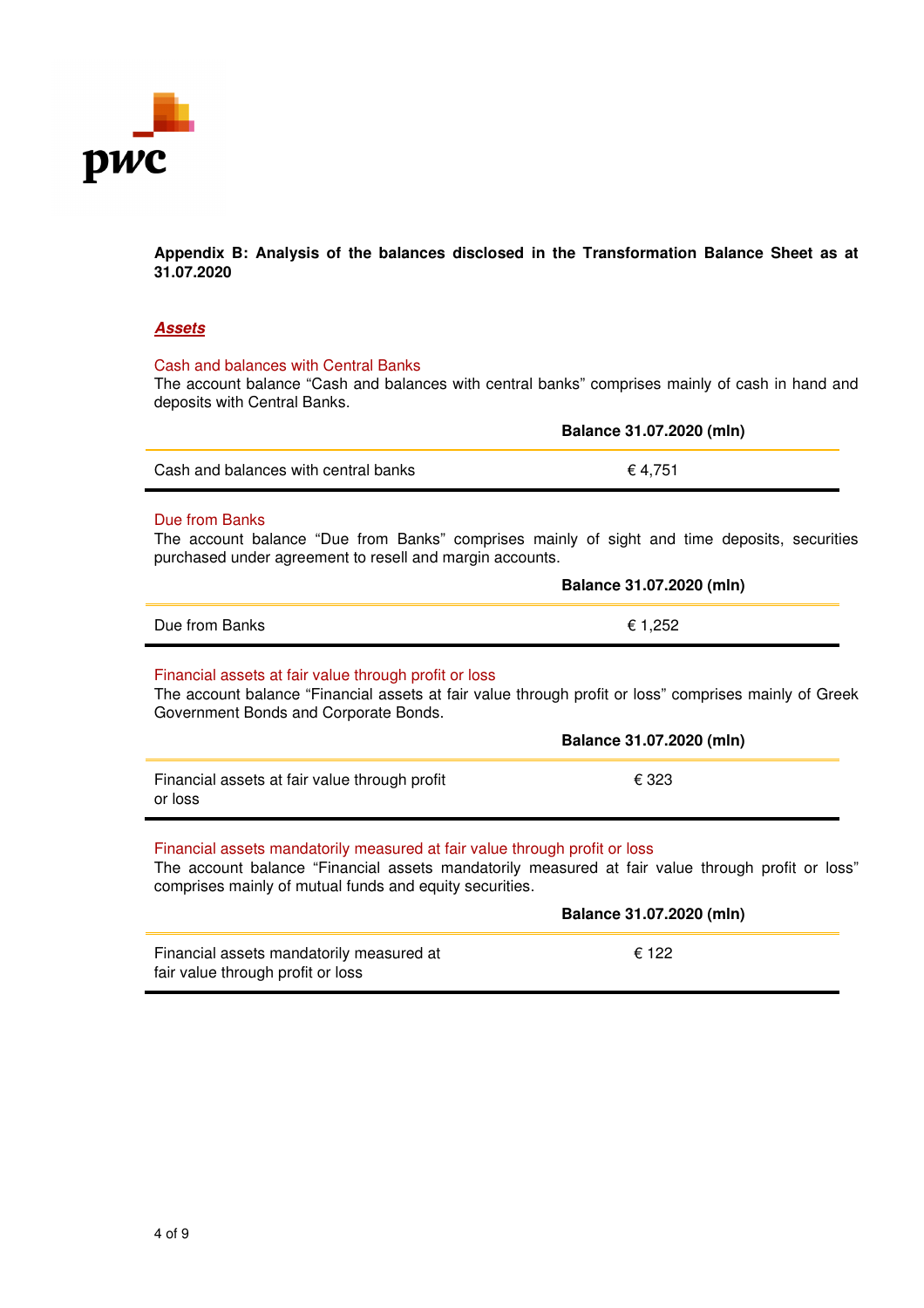

**Appendix B: Analysis of the balances disclosed in the Transformation Balance Sheet as at 31.07.2020**

### **Assets**

### Cash and balances with Central Banks

The account balance "Cash and balances with central banks" comprises mainly of cash in hand and deposits with Central Banks.

|                                      | Balance 31.07.2020 (mln) |
|--------------------------------------|--------------------------|
| Cash and balances with central banks | € 4.751                  |

# Due from Banks

The account balance "Due from Banks" comprises mainly of sight and time deposits, securities purchased under agreement to resell and margin accounts.

|                | Balance 31.07.2020 (mln) |
|----------------|--------------------------|
| Due from Banks | ۔252. '                  |

#### Financial assets at fair value through profit or loss

The account balance "Financial assets at fair value through profit or loss" comprises mainly of Greek Government Bonds and Corporate Bonds.

|                                                          | Balance 31.07.2020 (mln) |
|----------------------------------------------------------|--------------------------|
| Financial assets at fair value through profit<br>or loss | € 323                    |

# Financial assets mandatorily measured at fair value through profit or loss

The account balance "Financial assets mandatorily measured at fair value through profit or loss" comprises mainly of mutual funds and equity securities.

|                                                                               | Balance 31.07.2020 (mln) |
|-------------------------------------------------------------------------------|--------------------------|
| Financial assets mandatorily measured at<br>fair value through profit or loss | € 122                    |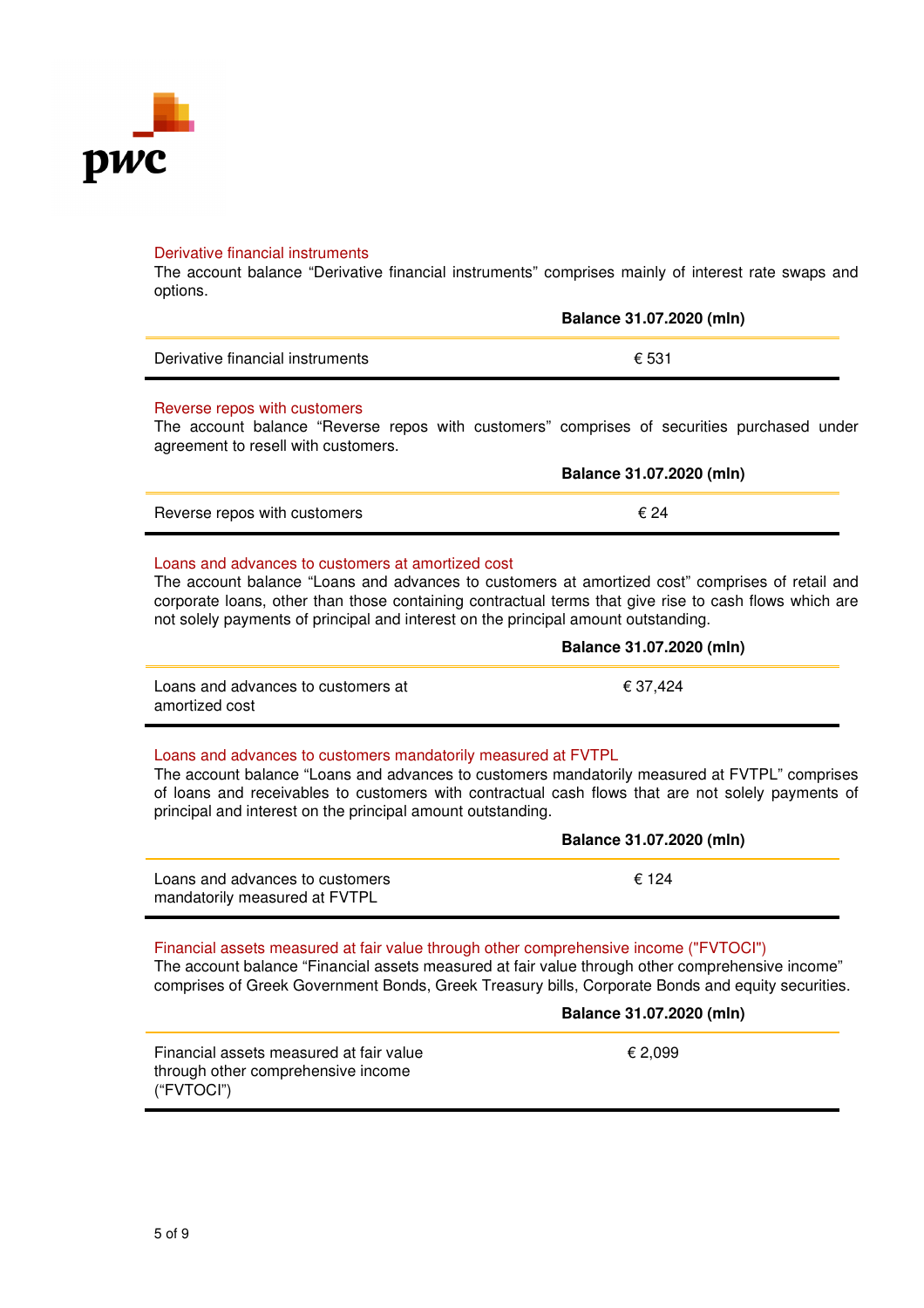

#### Derivative financial instruments

The account balance "Derivative financial instruments" comprises mainly of interest rate swaps and options.

|                                  | Balance 31.07.2020 (mln) |
|----------------------------------|--------------------------|
| Derivative financial instruments | € 531                    |

#### Reverse repos with customers

The account balance "Reverse repos with customers" comprises of securities purchased under agreement to resell with customers.

|                              | Balance 31.07.2020 (mln) |
|------------------------------|--------------------------|
| Reverse repos with customers | € 24                     |

# Loans and advances to customers at amortized cost

The account balance "Loans and advances to customers at amortized cost" comprises of retail and corporate loans, other than those containing contractual terms that give rise to cash flows which are not solely payments of principal and interest on the principal amount outstanding.

|                                                      | Balance 31.07.2020 (mln) |
|------------------------------------------------------|--------------------------|
| Loans and advances to customers at<br>amortized cost | € 37.424                 |
|                                                      |                          |

# Loans and advances to customers mandatorily measured at FVTPL

The account balance "Loans and advances to customers mandatorily measured at FVTPL" comprises of loans and receivables to customers with contractual cash flows that are not solely payments of principal and interest on the principal amount outstanding.

|                                                                  | Balance 31.07.2020 (mln) |
|------------------------------------------------------------------|--------------------------|
| Loans and advances to customers<br>mandatorily measured at FVTPL | $\epsilon$ 124           |

# Financial assets measured at fair value through other comprehensive income ("FVTOCI")

The account balance "Financial assets measured at fair value through other comprehensive income" comprises of Greek Government Bonds, Greek Treasury bills, Corporate Bonds and equity securities.

|                                                                                             | Balance 31.07.2020 (mln) |  |
|---------------------------------------------------------------------------------------------|--------------------------|--|
| Financial assets measured at fair value<br>through other comprehensive income<br>("FVTOCI") | € 2.099                  |  |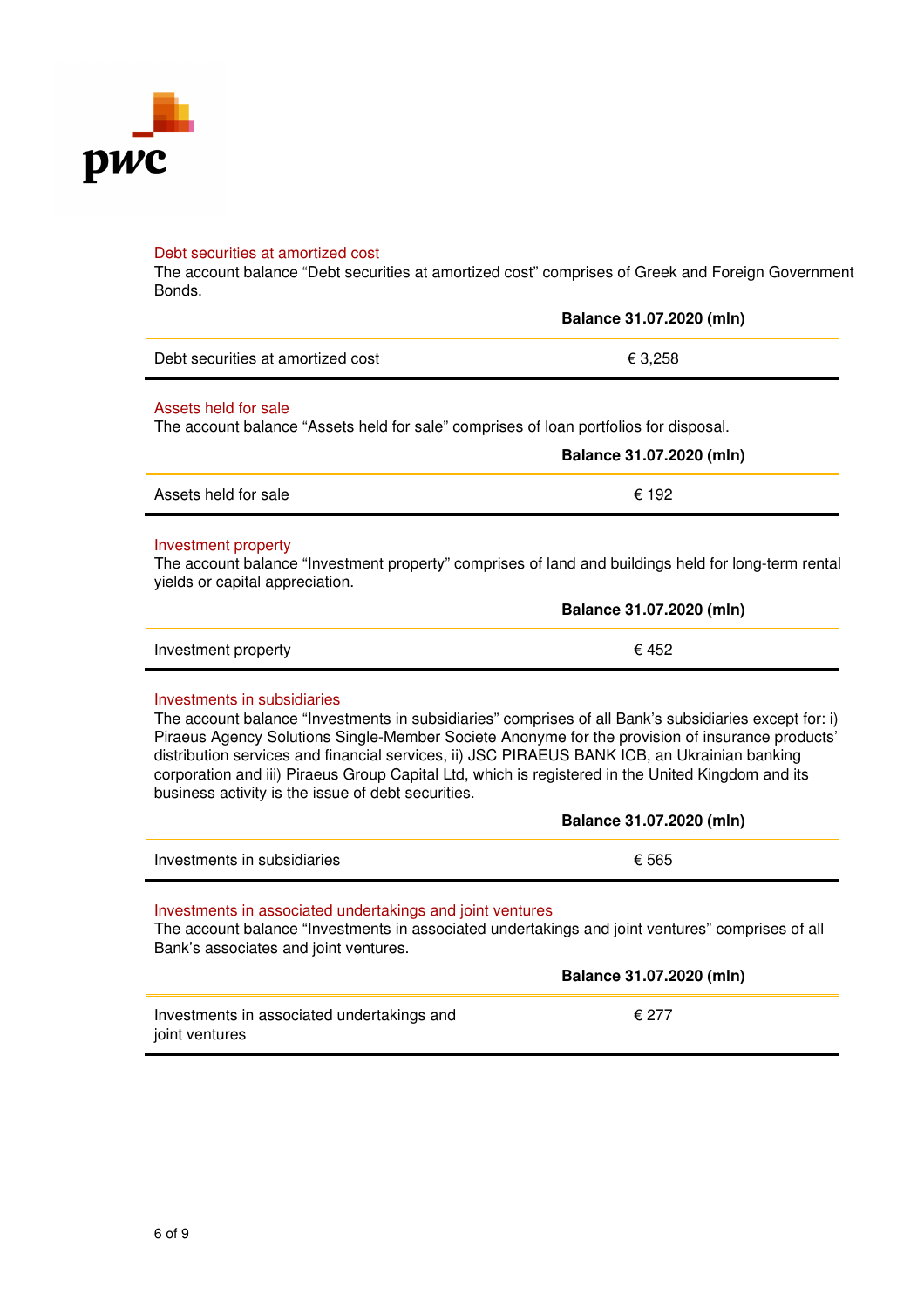

#### Debt securities at amortized cost

The account balance "Debt securities at amortized cost" comprises of Greek and Foreign Government Bonds.

|                                   | Balance 31.07.2020 (mln) |
|-----------------------------------|--------------------------|
| Debt securities at amortized cost | € 3.258                  |
|                                   |                          |

# Assets held for sale

The account balance "Assets held for sale" comprises of loan portfolios for disposal.

|                      | Balance 31.07.2020 (mln) |
|----------------------|--------------------------|
| Assets held for sale | € 192                    |

#### Investment property

The account balance "Investment property" comprises of land and buildings held for long-term rental yields or capital appreciation.

|                     | Balance 31.07.2020 (mln) |
|---------------------|--------------------------|
| Investment property | € 452                    |

#### Investments in subsidiaries

The account balance "Investments in subsidiaries" comprises of all Bank's subsidiaries except for: i) Piraeus Agency Solutions Single-Member Societe Anonyme for the provision of insurance products' distribution services and financial services, ii) JSC PIRAEUS BANK ICB, an Ukrainian banking corporation and iii) Piraeus Group Capital Ltd, which is registered in the United Kingdom and its business activity is the issue of debt securities.

|                             | Balance 31.07.2020 (mln) |
|-----------------------------|--------------------------|
| Investments in subsidiaries | € 565                    |

#### Investments in associated undertakings and joint ventures

The account balance "Investments in associated undertakings and joint ventures" comprises of all Bank's associates and joint ventures.

|                                                              | Balance 31.07.2020 (mln) |
|--------------------------------------------------------------|--------------------------|
| Investments in associated undertakings and<br>joint ventures | € 277                    |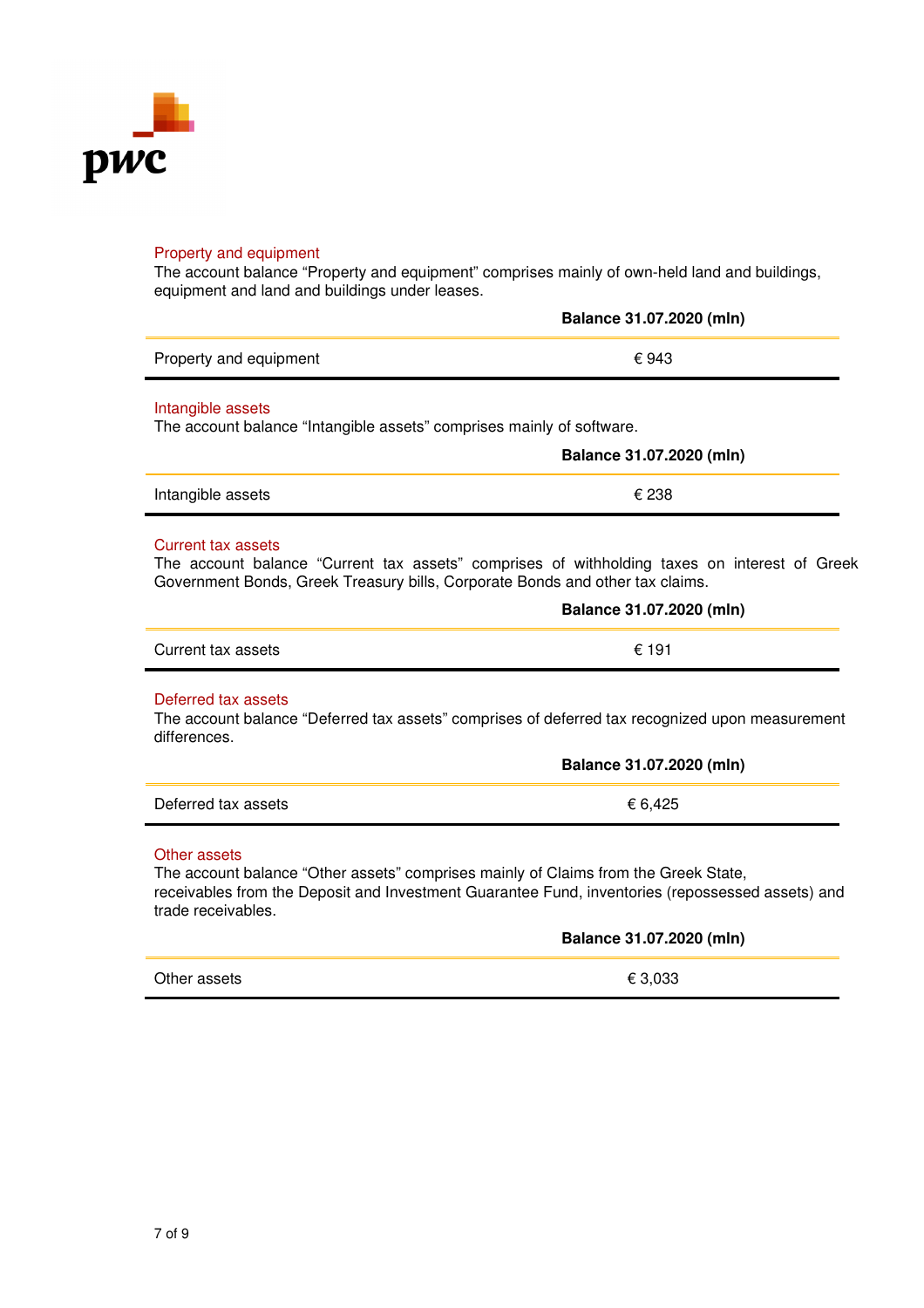

#### Property and equipment

The account balance "Property and equipment" comprises mainly of own-held land and buildings, equipment and land and buildings under leases.

|                        | Balance 31.07.2020 (mln) |
|------------------------|--------------------------|
| Property and equipment | € 943                    |

#### Intangible assets

The account balance "Intangible assets" comprises mainly of software.

|                   | Balance 31.07.2020 (mln) |
|-------------------|--------------------------|
| Intangible assets | € 238                    |

#### Current tax assets

The account balance "Current tax assets" comprises of withholding taxes on interest of Greek Government Bonds, Greek Treasury bills, Corporate Bonds and other tax claims.

|                    | Balance 31.07.2020 (mln) |
|--------------------|--------------------------|
| Current tax assets | € 191                    |

#### Deferred tax assets

The account balance "Deferred tax assets" comprises of deferred tax recognized upon measurement differences.

|                     | Balance 31.07.2020 (mln) |
|---------------------|--------------------------|
| Deferred tax assets | € 6.425                  |

#### Other assets

The account balance "Other assets" comprises mainly of Claims from the Greek State, receivables from the Deposit and Investment Guarantee Fund, inventories (repossessed assets) and trade receivables.

|              | Balance 31.07.2020 (mln) |
|--------------|--------------------------|
| Other assets | € 3,033                  |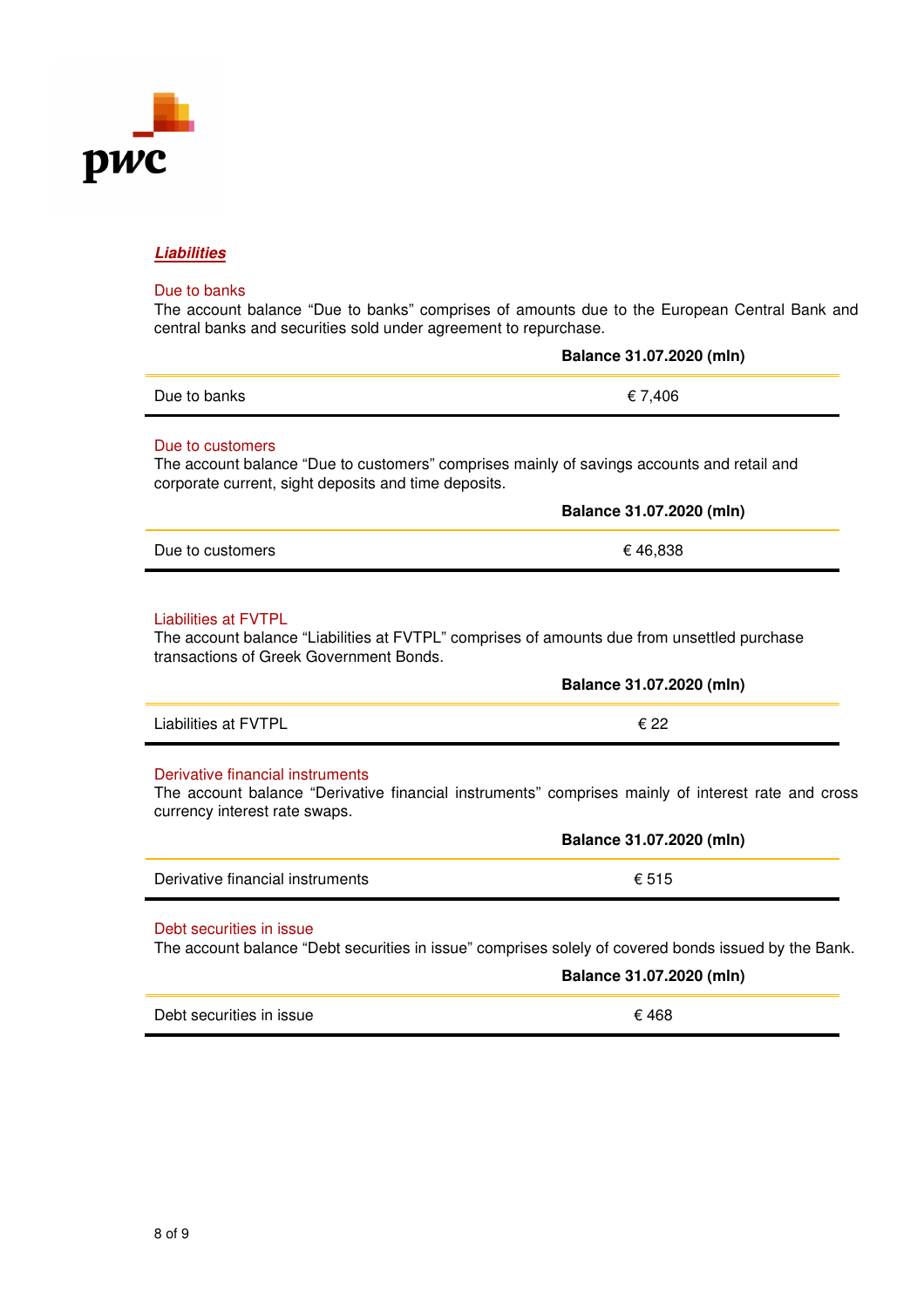

# **Liabilities**

### Due to banks

The account balance "Due to banks" comprises of amounts due to the European Central Bank and central banks and securities sold under agreement to repurchase.

|                                                                                                                                                                         | Balance 31.07.2020 (mln) |
|-------------------------------------------------------------------------------------------------------------------------------------------------------------------------|--------------------------|
| Due to banks                                                                                                                                                            | € 7,406                  |
| Due to customers<br>The account balance "Due to customers" comprises mainly of savings accounts and retail and<br>corporate current, sight deposits and time deposits.  |                          |
|                                                                                                                                                                         | Balance 31.07.2020 (mln) |
| Due to customers                                                                                                                                                        | €46,838                  |
| <b>Liabilities at FVTPL</b><br>The account balance "Liabilities at FVTPL" comprises of amounts due from unsettled purchase<br>transactions of Greek Government Bonds.   |                          |
|                                                                                                                                                                         | Balance 31.07.2020 (mln) |
| <b>Liabilities at FVTPL</b>                                                                                                                                             | € 22                     |
| Derivative financial instruments<br>The account balance "Derivative financial instruments" comprises mainly of interest rate and cross<br>currency interest rate swaps. |                          |
|                                                                                                                                                                         | Balance 31.07.2020 (mln) |
| Derivative financial instruments                                                                                                                                        | € 515                    |
| Debt securities in issue<br>The account balance "Debt securities in issue" comprises solely of covered bonds issued by the Bank.                                        | Balance 31.07.2020 (mln) |
| Debt securities in issue                                                                                                                                                | € 468                    |